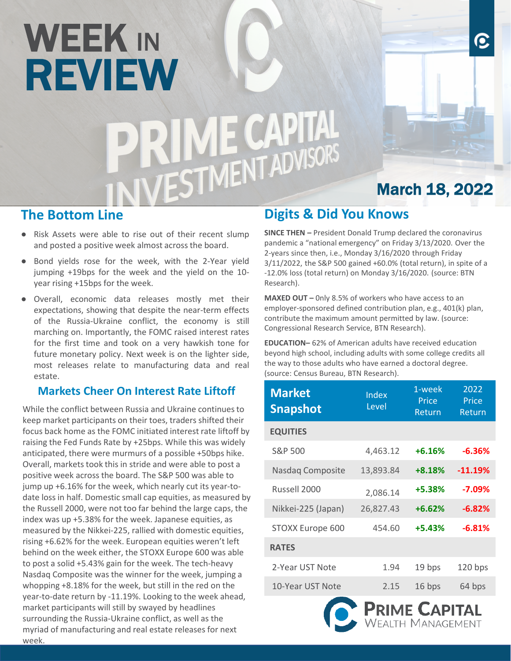# WEEK IN REVIEW<br>PRIME CAPITAL<br>INIVESTMENT ADVISORS

# March 18, 2022

О

#### **The Bottom Line**

- Risk Assets were able to rise out of their recent slump and posted a positive week almost across the board.
- Bond yields rose for the week, with the 2-Year yield jumping +19bps for the week and the yield on the 10 year rising +15bps for the week.
- Overall, economic data releases mostly met their expectations, showing that despite the near-term effects of the Russia-Ukraine conflict, the economy is still marching on. Importantly, the FOMC raised interest rates for the first time and took on a very hawkish tone for future monetary policy. Next week is on the lighter side, most releases relate to manufacturing data and real estate.

#### **Markets Cheer On Interest Rate Liftoff**

While the conflict between Russia and Ukraine continues to keep market participants on their toes, traders shifted their focus back home as the FOMC initiated interest rate liftoff by raising the Fed Funds Rate by +25bps. While this was widely anticipated, there were murmurs of a possible +50bps hike. Overall, markets took this in stride and were able to post a positive week across the board. The S&P 500 was able to jump up +6.16% for the week, which nearly cut its year-todate loss in half. Domestic small cap equities, as measured by the Russell 2000, were not too far behind the large caps, the index was up +5.38% for the week. Japanese equities, as measured by the Nikkei-225, rallied with domestic equities, rising +6.62% for the week. European equities weren't left behind on the week either, the STOXX Europe 600 was able to post a solid +5.43% gain for the week. The tech-heavy Nasdaq Composite was the winner for the week, jumping a whopping +8.18% for the week, but still in the red on the year-to-date return by -11.19%. Looking to the week ahead, market participants will still by swayed by headlines surrounding the Russia-Ukraine conflict, as well as the myriad of manufacturing and real estate releases for next week.

### **Digits & Did You Knows**

**SINCE THEN –** President Donald Trump declared the coronavirus pandemic a "national emergency" on Friday 3/13/2020. Over the 2-years since then, i.e., Monday 3/16/2020 through Friday 3/11/2022, the S&P 500 gained +60.0% (total return), in spite of a -12.0% loss (total return) on Monday 3/16/2020. (source: BTN Research).

**MAXED OUT –** 0nly 8.5% of workers who have access to an employer-sponsored defined contribution plan, e.g., 401(k) plan, contribute the maximum amount permitted by law. (source: Congressional Research Service, BTN Research).

**EDUCATION–** 62% of American adults have received education beyond high school, including adults with some college credits all the way to those adults who have earned a doctoral degree. (source: Census Bureau, BTN Research).

| <b>Market</b><br><b>Snapshot</b> | Index<br>Level      | 1-week<br>Price<br>Return | 2022<br>Price<br>Return |
|----------------------------------|---------------------|---------------------------|-------------------------|
| <b>EQUITIES</b>                  |                     |                           |                         |
| S&P 500                          | 4,463.12            | $+6.16%$                  | $-6.36%$                |
| Nasdaq Composite                 | 13,893.84<br>+8.18% |                           | $-11.19%$               |
| Russell 2000                     | 2,086.14            | $+5.38%$                  | $-7.09%$                |
| Nikkei-225 (Japan)               | 26,827.43           | $+6.62%$                  | $-6.82%$                |
| STOXX Europe 600                 | 454.60              | $+5.43%$                  | $-6.81%$                |
| <b>RATES</b>                     |                     |                           |                         |
| 2-Year UST Note                  | 1.94                | 19 bps                    | $120$ bps               |
| 10-Year UST Note                 | 2.15                | 16 bps                    | 64 bps                  |
|                                  |                     |                           |                         |

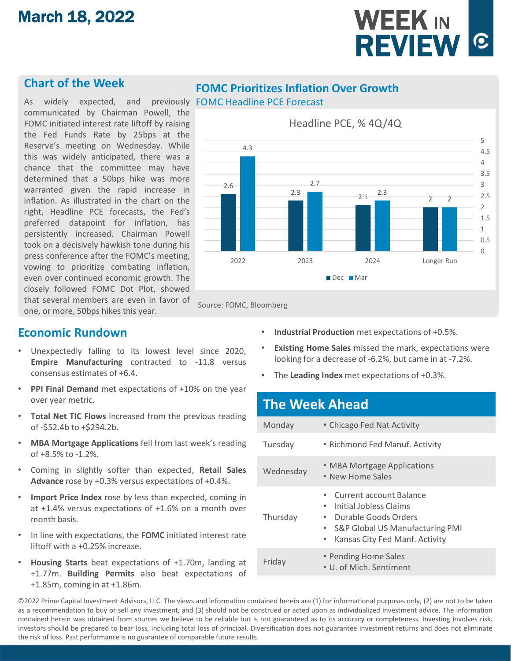## March 18, 2022

# WEEK IN REVIEW<sup>**C**</sup>

#### **Chart of the Week**

As widely expected, and previously FOMC Headline PCE Forecast communicated by Chairman Powell, the FOMC initiated interest rate liftoff by raising the Fed Funds Rate by 25bps at the Reserve's meeting on Wednesday. While this was widely anticipated, there was a chance that the committee may have determined that a 50bps hike was more warranted given the rapid increase in inflation. As illustrated in the chart on the right, Headline PCE forecasts, the Fed's preferred datapoint for inflation, has persistently increased. Chairman Powell took on a decisively hawkish tone during his press conference after the FOMC's meeting, vowing to prioritize combating inflation, even over continued economic growth. The closely followed FOMC Dot Plot, showed that several members are even in favor of one, or more, 50bps hikes this year.

#### **FOMC Prioritizes Inflation Over Growth**



Source: FOMC, Bloomberg

#### **Economic Rundown**

- Unexpectedly falling to its lowest level since 2020, **Empire Manufacturing** contracted to -11.8 versus consensus estimates of +6.4.
- **PPI Final Demand** met expectations of +10% on the year over year metric.
- **Total Net TIC Flows** increased from the previous reading of -\$52.4b to +\$294.2b.
- **MBA Mortgage Applications** fell from last week's reading of +8.5% to -1.2%.
- Coming in slightly softer than expected, **Retail Sales Advance** rose by +0.3% versus expectations of +0.4%.
- **Import Price Index** rose by less than expected, coming in at +1.4% versus expectations of +1.6% on a month over month basis.
- In line with expectations, the **FOMC** initiated interest rate liftoff with a +0.25% increase.
- **Housing Starts** beat expectations of +1.70m, landing at +1.77m. **Building Permits** also beat expectations of +1.85m, coming in at +1.86m.
- **Industrial Production** met expectations of +0.5%.
- **Existing Home Sales** missed the mark, expectations were looking for a decrease of -6.2%, but came in at -7.2%.
- The **Leading Index** met expectations of +0.3%.

# **The Week Ahead**

| Monday    | • Chicago Fed Nat Activity                                                                                                                                                                            |  |  |  |
|-----------|-------------------------------------------------------------------------------------------------------------------------------------------------------------------------------------------------------|--|--|--|
| Tuesday   | • Richmond Fed Manuf. Activity                                                                                                                                                                        |  |  |  |
| Wednesday | • MBA Mortgage Applications<br>• New Home Sales                                                                                                                                                       |  |  |  |
| Thursday  | Current account Balance<br>Initial Jobless Claims<br>$\bullet$<br>Durable Goods Orders<br>$\bullet$<br><b>S&amp;P Global US Manufacturing PMI</b><br>$\bullet$<br>Kansas City Fed Manf. Activity<br>٠ |  |  |  |
| Friday    | • Pending Home Sales<br>• U. of Mich. Sentiment                                                                                                                                                       |  |  |  |

©2022 Prime Capital Investment Advisors, LLC. The views and information contained herein are (1) for informational purposes only, (2) are not to be taken as a recommendation to buy or sell any investment, and (3) should not be construed or acted upon as individualized investment advice. The information contained herein was obtained from sources we believe to be reliable but is not guaranteed as to its accuracy or completeness. Investing involves risk. Investors should be prepared to bear loss, including total loss of principal. Diversification does not guarantee investment returns and does not eliminate the risk of loss. Past performance is no guarantee of comparable future results.